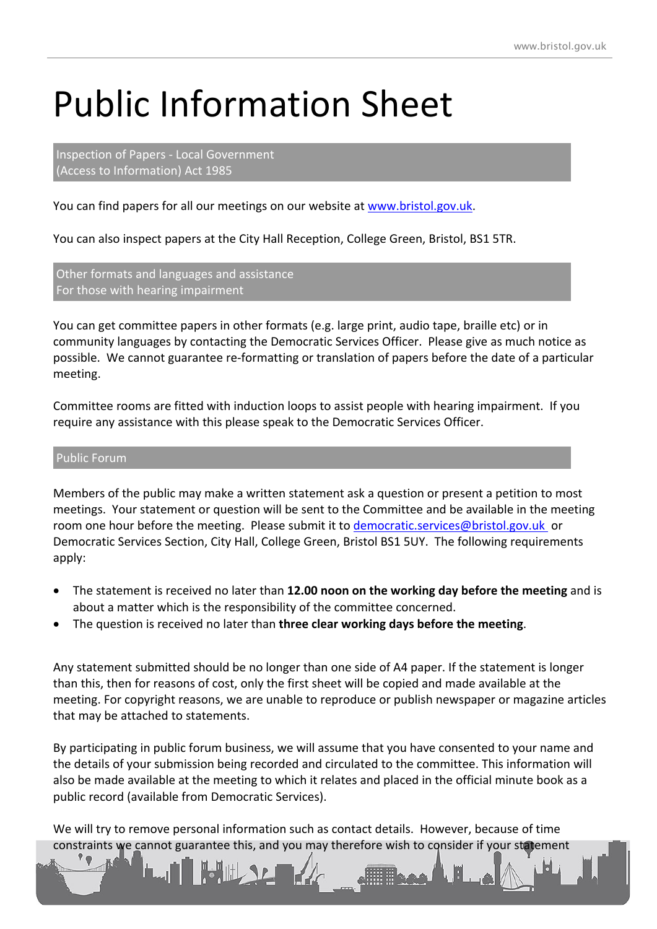## Public Information Sheet

Inspection of Papers - Local Government (Access to Information) Act 1985

You can find papers for all our meetings on our website at [www.bristol.gov.uk](http://www.bristol.gov.uk/).

You can also inspect papers at the City Hall Reception, College Green, Bristol, BS1 5TR.

Other formats and languages and assistance For those with hearing impairment

You can get committee papers in other formats (e.g. large print, audio tape, braille etc) or in community languages by contacting the Democratic Services Officer. Please give as much notice as possible. We cannot guarantee re-formatting or translation of papers before the date of a particular meeting.

Committee rooms are fitted with induction loops to assist people with hearing impairment. If you require any assistance with this please speak to the Democratic Services Officer.

## Public Forum

Members of the public may make a written statement ask a question or present a petition to most meetings. Your statement or question will be sent to the Committee and be available in the meeting room one hour before the meeting. Please submit it to [democratic.services@bristol.gov.uk](mailto:democratic.services@bristol.gov.uk) or Democratic Services Section, City Hall, College Green, Bristol BS1 5UY. The following requirements apply:

- The statement is received no later than **12.00 noon on the working day before the meeting** and is about a matter which is the responsibility of the committee concerned.
- The question is received no later than **three clear working days before the meeting**.

Any statement submitted should be no longer than one side of A4 paper. If the statement is longer than this, then for reasons of cost, only the first sheet will be copied and made available at the meeting. For copyright reasons, we are unable to reproduce or publish newspaper or magazine articles that may be attached to statements.

By participating in public forum business, we will assume that you have consented to your name and the details of your submission being recorded and circulated to the committee. This information will also be made available at the meeting to which it relates and placed in the official minute book as a public record (available from Democratic Services).

We will try to remove personal information such as contact details. However, because of time constraints we cannot guarantee this, and you may therefore wish to consider if your statement